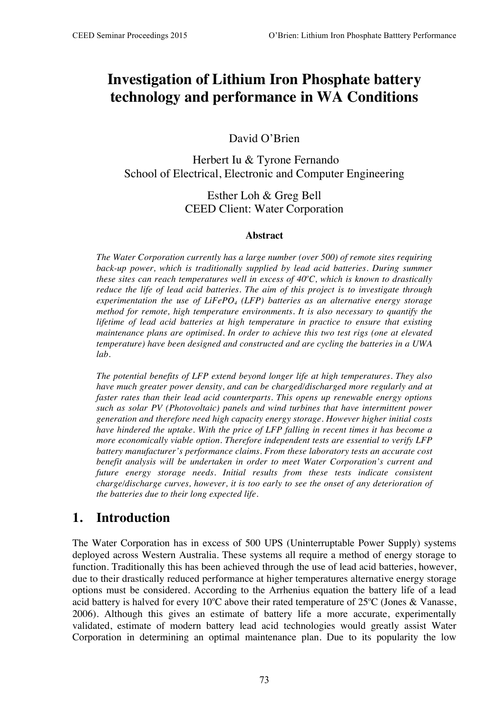# **Investigation of Lithium Iron Phosphate battery technology and performance in WA Conditions**

David O'Brien

Herbert Iu & Tyrone Fernando School of Electrical, Electronic and Computer Engineering

#### Esther Loh & Greg Bell CEED Client: Water Corporation

#### **Abstract**

*The Water Corporation currently has a large number (over 500) of remote sites requiring back-up power, which is traditionally supplied by lead acid batteries. During summer these sites can reach temperatures well in excess of 40°C, which is known to drastically reduce the life of lead acid batteries. The aim of this project is to investigate through experimentation the use of LiFePO4 (LFP) batteries as an alternative energy storage method for remote, high temperature environments. It is also necessary to quantify the lifetime of lead acid batteries at high temperature in practice to ensure that existing maintenance plans are optimised. In order to achieve this two test rigs (one at elevated temperature) have been designed and constructed and are cycling the batteries in a UWA lab.*

*The potential benefits of LFP extend beyond longer life at high temperatures. They also have much greater power density, and can be charged/discharged more regularly and at faster rates than their lead acid counterparts. This opens up renewable energy options such as solar PV (Photovoltaic) panels and wind turbines that have intermittent power generation and therefore need high capacity energy storage. However higher initial costs have hindered the uptake. With the price of LFP falling in recent times it has become a more economically viable option. Therefore independent tests are essential to verify LFP battery manufacturer's performance claims. From these laboratory tests an accurate cost benefit analysis will be undertaken in order to meet Water Corporation's current and future energy storage needs. Initial results from these tests indicate consistent charge/discharge curves, however, it is too early to see the onset of any deterioration of the batteries due to their long expected life.*

#### **1. Introduction**

The Water Corporation has in excess of 500 UPS (Uninterruptable Power Supply) systems deployed across Western Australia. These systems all require a method of energy storage to function. Traditionally this has been achieved through the use of lead acid batteries, however, due to their drastically reduced performance at higher temperatures alternative energy storage options must be considered. According to the Arrhenius equation the battery life of a lead acid battery is halved for every 10°C above their rated temperature of  $25^{\circ}$ C (Jones & Vanasse, 2006). Although this gives an estimate of battery life a more accurate, experimentally validated, estimate of modern battery lead acid technologies would greatly assist Water Corporation in determining an optimal maintenance plan. Due to its popularity the low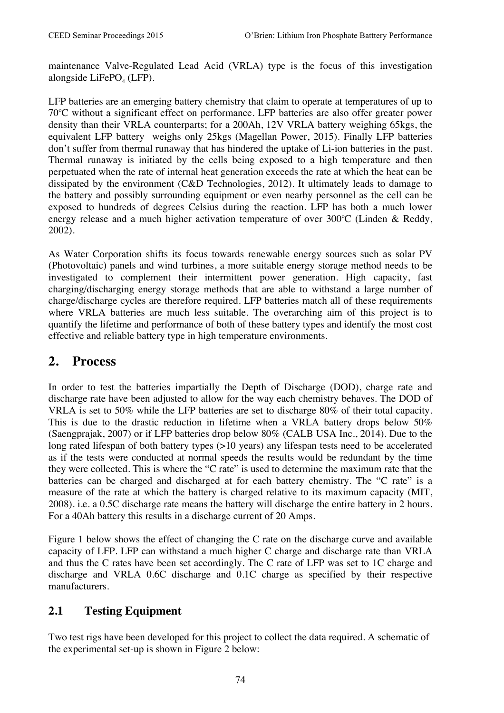maintenance Valve-Regulated Lead Acid (VRLA) type is the focus of this investigation alongside LiFe $PO<sub>4</sub>$  (LFP).

LFP batteries are an emerging battery chemistry that claim to operate at temperatures of up to 70°C without a significant effect on performance. LFP batteries are also offer greater power density than their VRLA counterparts; for a 200Ah, 12V VRLA battery weighing 65kgs, the equivalent LFP battery weighs only 25kgs (Magellan Power, 2015). Finally LFP batteries don't suffer from thermal runaway that has hindered the uptake of Li-ion batteries in the past. Thermal runaway is initiated by the cells being exposed to a high temperature and then perpetuated when the rate of internal heat generation exceeds the rate at which the heat can be dissipated by the environment (C&D Technologies, 2012). It ultimately leads to damage to the battery and possibly surrounding equipment or even nearby personnel as the cell can be exposed to hundreds of degrees Celsius during the reaction. LFP has both a much lower energy release and a much higher activation temperature of over 300°C (Linden & Reddy, 2002).

As Water Corporation shifts its focus towards renewable energy sources such as solar PV (Photovoltaic) panels and wind turbines, a more suitable energy storage method needs to be investigated to complement their intermittent power generation. High capacity, fast charging/discharging energy storage methods that are able to withstand a large number of charge/discharge cycles are therefore required. LFP batteries match all of these requirements where VRLA batteries are much less suitable. The overarching aim of this project is to quantify the lifetime and performance of both of these battery types and identify the most cost effective and reliable battery type in high temperature environments.

## **2. Process**

In order to test the batteries impartially the Depth of Discharge (DOD), charge rate and discharge rate have been adjusted to allow for the way each chemistry behaves. The DOD of VRLA is set to 50% while the LFP batteries are set to discharge 80% of their total capacity. This is due to the drastic reduction in lifetime when a VRLA battery drops below 50% (Saengprajak, 2007) or if LFP batteries drop below 80% (CALB USA Inc., 2014). Due to the long rated lifespan of both battery types (>10 years) any lifespan tests need to be accelerated as if the tests were conducted at normal speeds the results would be redundant by the time they were collected. This is where the "C rate" is used to determine the maximum rate that the batteries can be charged and discharged at for each battery chemistry. The "C rate" is a measure of the rate at which the battery is charged relative to its maximum capacity (MIT, 2008). i.e. a 0.5C discharge rate means the battery will discharge the entire battery in 2 hours. For a 40Ah battery this results in a discharge current of 20 Amps.

Figure 1 below shows the effect of changing the C rate on the discharge curve and available capacity of LFP. LFP can withstand a much higher C charge and discharge rate than VRLA and thus the C rates have been set accordingly. The C rate of LFP was set to 1C charge and discharge and VRLA 0.6C discharge and 0.1C charge as specified by their respective manufacturers.

#### **2.1 Testing Equipment**

Two test rigs have been developed for this project to collect the data required. A schematic of the experimental set-up is shown in Figure 2 below: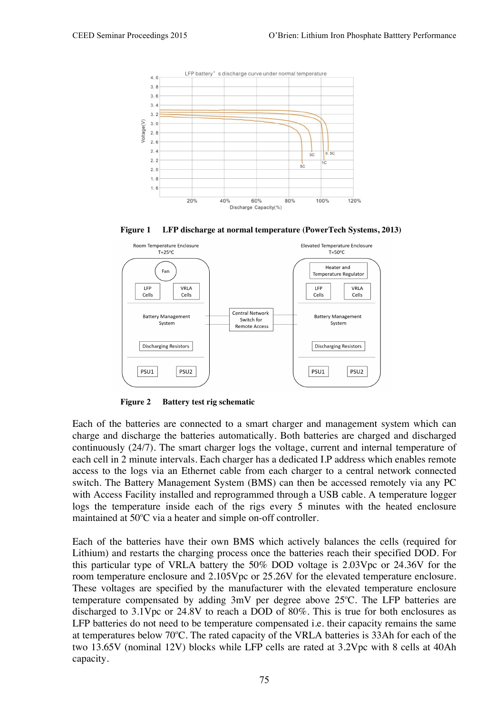

**Figure 1 LFP discharge at normal temperature (PowerTech Systems, 2013)**



**Figure 2 Battery test rig schematic**

Each of the batteries are connected to a smart charger and management system which can charge and discharge the batteries automatically. Both batteries are charged and discharged continuously (24/7). The smart charger logs the voltage, current and internal temperature of each cell in 2 minute intervals. Each charger has a dedicated I.P address which enables remote access to the logs via an Ethernet cable from each charger to a central network connected switch. The Battery Management System (BMS) can then be accessed remotely via any PC with Access Facility installed and reprogrammed through a USB cable. A temperature logger logs the temperature inside each of the rigs every 5 minutes with the heated enclosure maintained at 50°C via a heater and simple on-off controller.

Each of the batteries have their own BMS which actively balances the cells (required for Lithium) and restarts the charging process once the batteries reach their specified DOD. For this particular type of VRLA battery the 50% DOD voltage is 2.03Vpc or 24.36V for the room temperature enclosure and 2.105Vpc or 25.26V for the elevated temperature enclosure. These voltages are specified by the manufacturer with the elevated temperature enclosure temperature compensated by adding  $3mV$  per degree above  $25^{\circ}$ C. The LFP batteries are discharged to 3.1Vpc or 24.8V to reach a DOD of 80%. This is true for both enclosures as LFP batteries do not need to be temperature compensated *i.e.* their capacity remains the same at temperatures below  $70^{\circ}$ C. The rated capacity of the VRLA batteries is 33Ah for each of the two 13.65V (nominal 12V) blocks while LFP cells are rated at 3.2Vpc with 8 cells at 40Ah capacity.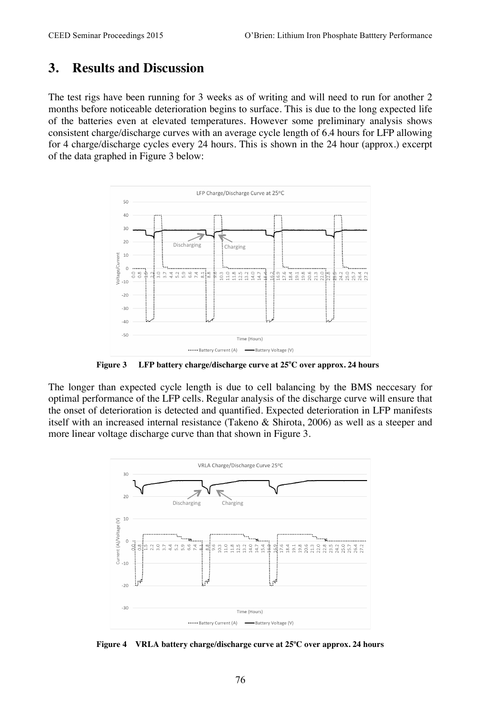#### **3. Results and Discussion**

The test rigs have been running for 3 weeks as of writing and will need to run for another 2 months before noticeable deterioration begins to surface. This is due to the long expected life of the batteries even at elevated temperatures. However some preliminary analysis shows consistent charge/discharge curves with an average cycle length of 6.4 hours for LFP allowing for 4 charge/discharge cycles every 24 hours. This is shown in the 24 hour (approx.) excerpt of the data graphed in Figure 3 below:



**Figure 3 LFP battery charge/discharge curve at 25<sup>o</sup> C over approx. 24 hours**

The longer than expected cycle length is due to cell balancing by the BMS neccesary for optimal performance of the LFP cells. Regular analysis of the discharge curve will ensure that the onset of deterioration is detected and quantified. Expected deterioration in LFP manifests itself with an increased internal resistance (Takeno & Shirota, 2006) as well as a steeper and more linear voltage discharge curve than that shown in Figure 3.



**Figure 4 VRLA battery charge/discharge curve at 25<sup>o</sup> C over approx. 24 hours**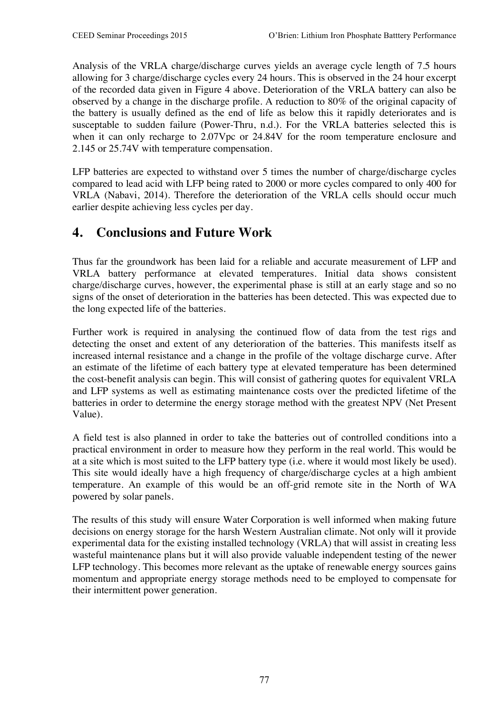Analysis of the VRLA charge/discharge curves yields an average cycle length of 7.5 hours allowing for 3 charge/discharge cycles every 24 hours. This is observed in the 24 hour excerpt of the recorded data given in Figure 4 above. Deterioration of the VRLA battery can also be observed by a change in the discharge profile. A reduction to 80% of the original capacity of the battery is usually defined as the end of life as below this it rapidly deteriorates and is susceptable to sudden failure (Power-Thru, n.d.). For the VRLA batteries selected this is when it can only recharge to 2.07Vpc or 24.84V for the room temperature enclosure and 2.145 or 25.74V with temperature compensation.

LFP batteries are expected to withstand over 5 times the number of charge/discharge cycles compared to lead acid with LFP being rated to 2000 or more cycles compared to only 400 for VRLA (Nabavi, 2014). Therefore the deterioration of the VRLA cells should occur much earlier despite achieving less cycles per day.

## **4. Conclusions and Future Work**

Thus far the groundwork has been laid for a reliable and accurate measurement of LFP and VRLA battery performance at elevated temperatures. Initial data shows consistent charge/discharge curves, however, the experimental phase is still at an early stage and so no signs of the onset of deterioration in the batteries has been detected. This was expected due to the long expected life of the batteries.

Further work is required in analysing the continued flow of data from the test rigs and detecting the onset and extent of any deterioration of the batteries. This manifests itself as increased internal resistance and a change in the profile of the voltage discharge curve. After an estimate of the lifetime of each battery type at elevated temperature has been determined the cost-benefit analysis can begin. This will consist of gathering quotes for equivalent VRLA and LFP systems as well as estimating maintenance costs over the predicted lifetime of the batteries in order to determine the energy storage method with the greatest NPV (Net Present Value).

A field test is also planned in order to take the batteries out of controlled conditions into a practical environment in order to measure how they perform in the real world. This would be at a site which is most suited to the LFP battery type (i.e. where it would most likely be used). This site would ideally have a high frequency of charge/discharge cycles at a high ambient temperature. An example of this would be an off-grid remote site in the North of WA powered by solar panels.

The results of this study will ensure Water Corporation is well informed when making future decisions on energy storage for the harsh Western Australian climate. Not only will it provide experimental data for the existing installed technology (VRLA) that will assist in creating less wasteful maintenance plans but it will also provide valuable independent testing of the newer LFP technology. This becomes more relevant as the uptake of renewable energy sources gains momentum and appropriate energy storage methods need to be employed to compensate for their intermittent power generation.